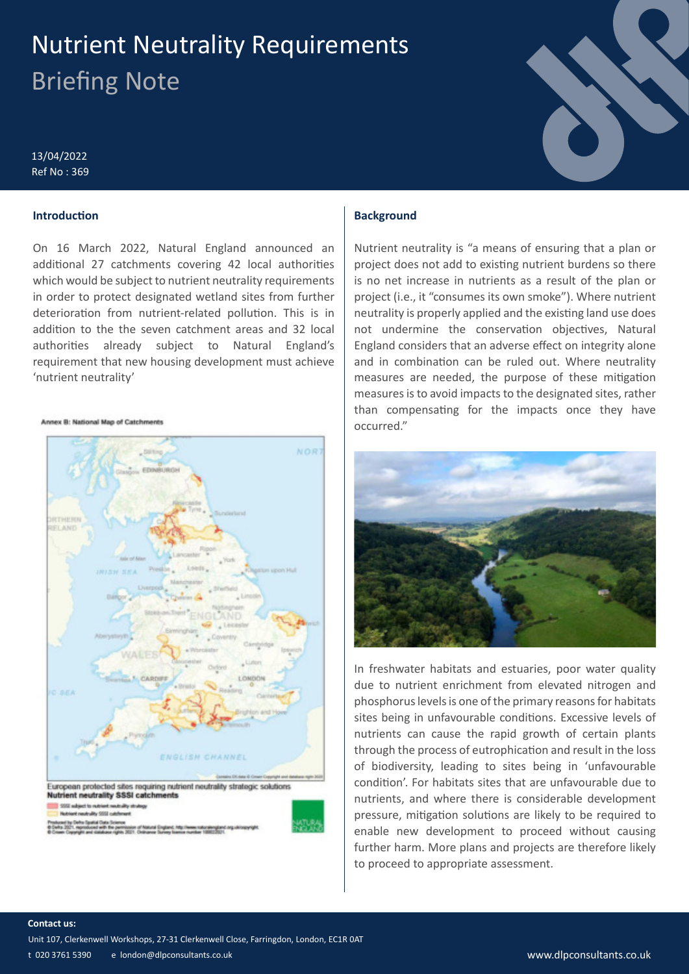# Nutrient Neutrality Requirements Briefing Note

# 13/04/2022 Ref No : 369

#### **Introduction**

On 16 March 2022, Natural England announced an additional 27 catchments covering 42 local authorities which would be subject to nutrient neutrality requirements in order to protect designated wetland sites from further deterioration from nutrient-related pollution. This is in addition to the the seven catchment areas and 32 local authorities already subject to Natural England's requirement that new housing development must achieve 'nutrient neutrality'

nnex B: National Map of Catchments



## **Background**

Nutrient neutrality is "a means of ensuring that a plan or project does not add to existing nutrient burdens so there is no net increase in nutrients as a result of the plan or project (i.e., it "consumes its own smoke"). Where nutrient neutrality is properly applied and the existing land use does not undermine the conservation objectives, Natural England considers that an adverse effect on integrity alone and in combination can be ruled out. Where neutrality measures are needed, the purpose of these mitigation measures is to avoid impacts to the designated sites, rather than compensating for the impacts once they have occurred."



In freshwater habitats and estuaries, poor water quality due to nutrient enrichment from elevated nitrogen and phosphorus levels is one of the primary reasons for habitats sites being in unfavourable conditions. Excessive levels of nutrients can cause the rapid growth of certain plants through the process of eutrophication and result in the loss of biodiversity, leading to sites being in 'unfavourable condition'. For habitats sites that are unfavourable due to nutrients, and where there is considerable development pressure, mitigation solutions are likely to be required to enable new development to proceed without causing further harm. More plans and projects are therefore likely to proceed to appropriate assessment.

#### **Contact us:**

Unit 107, Clerkenwell Workshops, 27-31 Clerkenwell Close, Farringdon, London, EC1R 0AT

t 020 3761 5390 e london@dlpconsultants.co.uk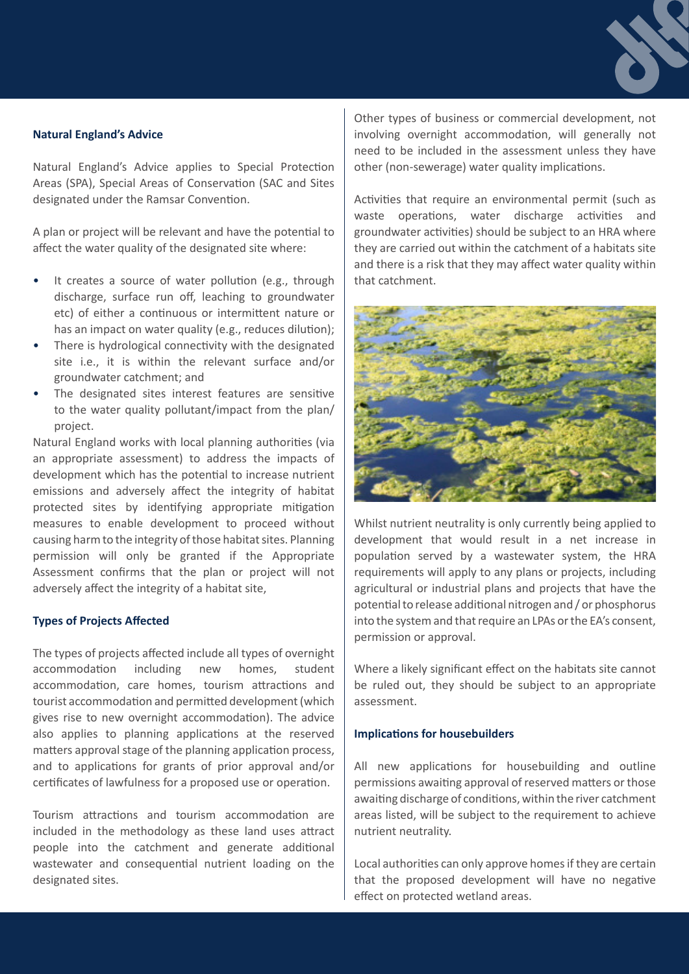## **Natural England's Advice**

Natural England's Advice applies to Special Protection Areas (SPA), Special Areas of Conservation (SAC and Sites designated under the Ramsar Convention.

A plan or project will be relevant and have the potential to affect the water quality of the designated site where:

- It creates a source of water pollution (e.g., through discharge, surface run off, leaching to groundwater etc) of either a continuous or intermittent nature or has an impact on water quality (e.g., reduces dilution);
- There is hydrological connectivity with the designated site i.e., it is within the relevant surface and/or groundwater catchment; and
- The designated sites interest features are sensitive to the water quality pollutant/impact from the plan/ project.

Natural England works with local planning authorities (via an appropriate assessment) to address the impacts of development which has the potential to increase nutrient emissions and adversely affect the integrity of habitat protected sites by identifying appropriate mitigation measures to enable development to proceed without causing harm to the integrity of those habitat sites. Planning permission will only be granted if the Appropriate Assessment confirms that the plan or project will not adversely affect the integrity of a habitat site,

## **Types of Projects Affected**

The types of projects affected include all types of overnight accommodation including new homes, student accommodation, care homes, tourism attractions and tourist accommodation and permitted development (which gives rise to new overnight accommodation). The advice also applies to planning applications at the reserved matters approval stage of the planning application process, and to applications for grants of prior approval and/or certificates of lawfulness for a proposed use or operation.

Tourism attractions and tourism accommodation are included in the methodology as these land uses attract people into the catchment and generate additional wastewater and consequential nutrient loading on the designated sites.

Other types of business or commercial development, not involving overnight accommodation, will generally not need to be included in the assessment unless they have other (non-sewerage) water quality implications.

Activities that require an environmental permit (such as waste operations, water discharge activities and groundwater activities) should be subject to an HRA where they are carried out within the catchment of a habitats site and there is a risk that they may affect water quality within that catchment.



Whilst nutrient neutrality is only currently being applied to development that would result in a net increase in population served by a wastewater system, the HRA requirements will apply to any plans or projects, including agricultural or industrial plans and projects that have the potential to release additional nitrogen and / or phosphorus into the system and that require an LPAs or the EA's consent, permission or approval.

Where a likely significant effect on the habitats site cannot be ruled out, they should be subject to an appropriate assessment.

#### **Implications for housebuilders**

All new applications for housebuilding and outline permissions awaiting approval of reserved matters or those awaiting discharge of conditions, within the river catchment areas listed, will be subject to the requirement to achieve nutrient neutrality.

Local authorities can only approve homes if they are certain that the proposed development will have no negative effect on protected wetland areas.